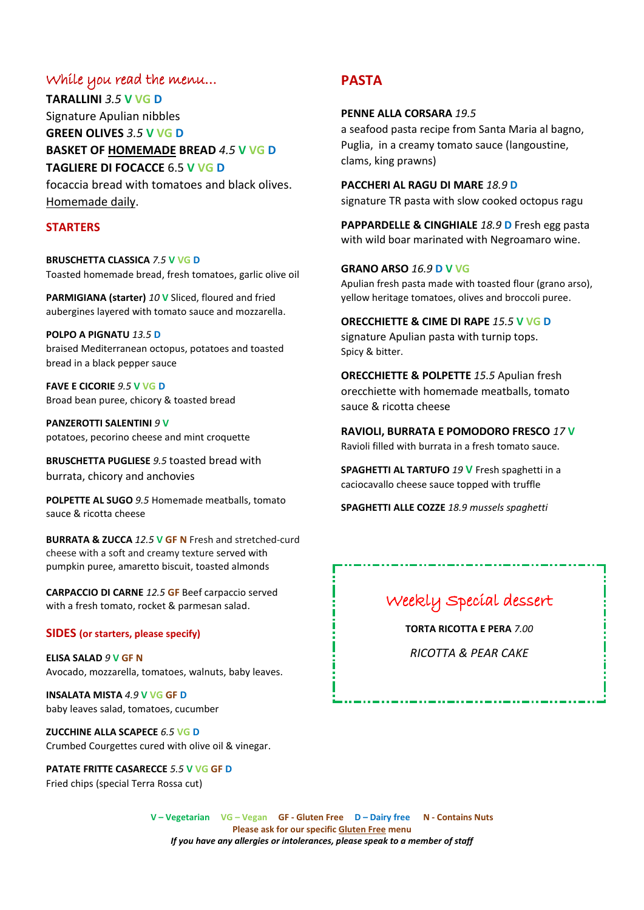### While you read the menu…

**TARALLINI** *3.5* **V VG D** Signature Apulian nibbles **GREEN OLIVES** *3.5* **V VG D BASKET OF HOMEMADE BREAD** *4.5* **V VG D TAGLIERE DI FOCACCE** 6.5 **V VG D** focaccia bread with tomatoes and black olives.

Homemade daily.

### **STARTERS**

**BRUSCHETTA CLASSICA** *7.5* **V VG D** Toasted homemade bread, fresh tomatoes, garlic olive oil

**PARMIGIANA (starter)** *10* **V** Sliced, floured and fried aubergines layered with tomato sauce and mozzarella.

**POLPO A PIGNATU** *13.5* **D** braised Mediterranean octopus, potatoes and toasted bread in a black pepper sauce

**FAVE E CICORIE** *9.5* **V VG D** Broad bean puree, chicory & toasted bread

**PANZEROTTI SALENTINI** *9* **V** potatoes, pecorino cheese and mint croquette

**BRUSCHETTA PUGLIESE** *9.5* toasted bread with burrata, chicory and anchovies

**POLPETTE AL SUGO** *9.5* Homemade meatballs, tomato sauce & ricotta cheese

**BURRATA & ZUCCA** *12.5* **V GF N** Fresh and stretched-curd cheese with a soft and creamy texture served with pumpkin puree, amaretto biscuit, toasted almonds

**CARPACCIO DI CARNE***12.5* **GF** Beef carpaccio served with a fresh tomato, rocket & parmesan salad.

#### **SIDES (or starters, please specify)**

**ELISA SALAD** *9* **V GF N** Avocado, mozzarella, tomatoes, walnuts, baby leaves.

**INSALATA MISTA** *4.9* **V VG GF D** baby leaves salad, tomatoes, cucumber

**ZUCCHINE ALLA SCAPECE** *6.5* **VG D** Crumbed Courgettes cured with olive oil & vinegar.

**PATATE FRITTE CASARECCE** *5.5* **V VG GF D** Fried chips (special Terra Rossa cut)

## **PASTA**

### **PENNE ALLA CORSARA** *19.5*

a seafood pasta recipe from Santa Maria al bagno, Puglia, in a creamy tomato sauce (langoustine, clams, king prawns)

**PACCHERI AL RAGU DI MARE** *18.9* **D** signature TR pasta with slow cooked octopus ragu

**PAPPARDELLE & CINGHIALE** *18.9* **D** Fresh egg pasta with wild boar marinated with Negroamaro wine.

## **GRANO ARSO** *16.9* **D V VG**

Apulian fresh pasta made with toasted flour (grano arso), yellow heritage tomatoes, olives and broccoli puree.

**ORECCHIETTE & CIME DI RAPE** *15.5* **V VG D** signature Apulian pasta with turnip tops. Spicy & bitter.

**ORECCHIETTE & POLPETTE** *15.5* Apulian fresh orecchiette with homemade meatballs, tomato sauce & ricotta cheese

**RAVIOLI, BURRATA E POMODORO FRESCO** *17* **V** Ravioli filled with burrata in a fresh tomato sauce.

**SPAGHETTI AL TARTUFO** *19* **V** Fresh spaghetti in a caciocavallo cheese sauce topped with truffle

**SPAGHETTI ALLE COZZE** *18.9 mussels spaghetti*

# Weekly Special dessert

**TORTA RICOTTA E PERA** *7.00*

*RICOTTA & PEAR CAKE*

**V – Vegetarian VG – Vegan GF - Gluten Free D – Dairy free N - Contains Nuts Please ask for our specific Gluten Free menu** *If you have any allergies or intolerances, please speak to a member of staff*